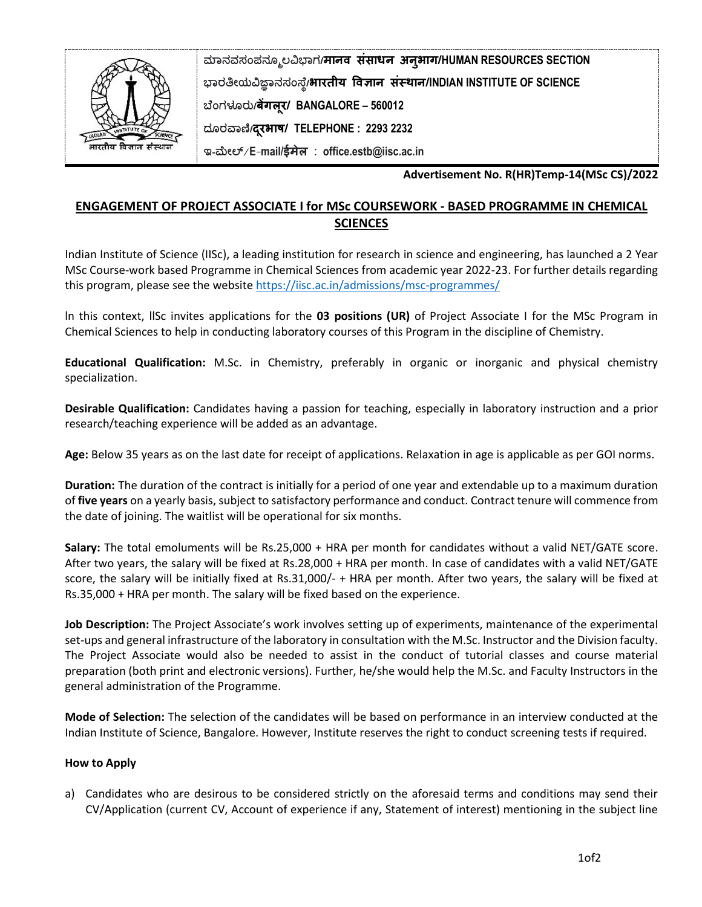

**ಮಾನವಸಂಪನಮೂಲವಿಭಾಗ/मानव संसाधन अनुभाग/HUMAN RESOURCES SECTION ಭಾರತೀಯವಿಜ್ಞಾನಸಂಸ್ಥೆ/भारतीय ववज्ञान संस्थान/INDIAN INSTITUTE OF SCIENCE ಬಥಂಗಳೂರು/बेंगलूर/ BANGALORE – 560012 ದಮರವಾಣಿ/दरूभाष/ TELEPHONE : 2293 2232** 

**ಇ-ಮೀಲ್**/**E**-**mail/ईमेल** : **office.estb@iisc.ac.in**

**Advertisement No. R(HR)Temp-14(MSc CS)/2022**

## **ENGAGEMENT OF PROJECT ASSOCIATE I for MSc COURSEWORK - BASED PROGRAMME IN CHEMICAL SCIENCES**

Indian Institute of Science (IISc), a leading institution for research in science and engineering, has launched a 2 Year MSc Course-work based Programme in Chemical Sciences from academic year 2022-23. For further details regarding this program, please see the website<https://iisc.ac.in/admissions/msc-programmes/>

ln this context, llSc invites applications for the **03 positions (UR)** of Project Associate I for the MSc Program in Chemical Sciences to help in conducting laboratory courses of this Program in the discipline of Chemistry.

**Educational Qualification:** M.Sc. in Chemistry, preferably in organic or inorganic and physical chemistry specialization.

**Desirable Qualification:** Candidates having a passion for teaching, especially in laboratory instruction and a prior research/teaching experience will be added as an advantage.

**Age:** Below 35 years as on the last date for receipt of applications. Relaxation in age is applicable as per GOI norms.

**Duration:** The duration of the contract is initially for a period of one year and extendable up to a maximum duration of **five years** on a yearly basis, subject to satisfactory performance and conduct. Contract tenure will commence from the date of joining. The waitlist will be operational for six months.

**Salary:** The total emoluments will be Rs.25,000 + HRA per month for candidates without a valid NET/GATE score. After two years, the salary will be fixed at Rs.28,000 + HRA per month. In case of candidates with a valid NET/GATE score, the salary will be initially fixed at Rs.31,000/- + HRA per month. After two years, the salary will be fixed at Rs.35,000 + HRA per month. The salary will be fixed based on the experience.

**Job Description:** The Project Associate's work involves setting up of experiments, maintenance of the experimental set-ups and general infrastructure of the laboratory in consultation with the M.Sc. Instructor and the Division faculty. The Project Associate would also be needed to assist in the conduct of tutorial classes and course material preparation (both print and electronic versions). Further, he/she would help the M.Sc. and Faculty Instructors in the general administration of the Programme.

**Mode of Selection:** The selection of the candidates will be based on performance in an interview conducted at the Indian Institute of Science, Bangalore. However, Institute reserves the right to conduct screening tests if required.

## **How to Apply**

a) Candidates who are desirous to be considered strictly on the aforesaid terms and conditions may send their CV/Application (current CV, Account of experience if any, Statement of interest) mentioning in the subject line